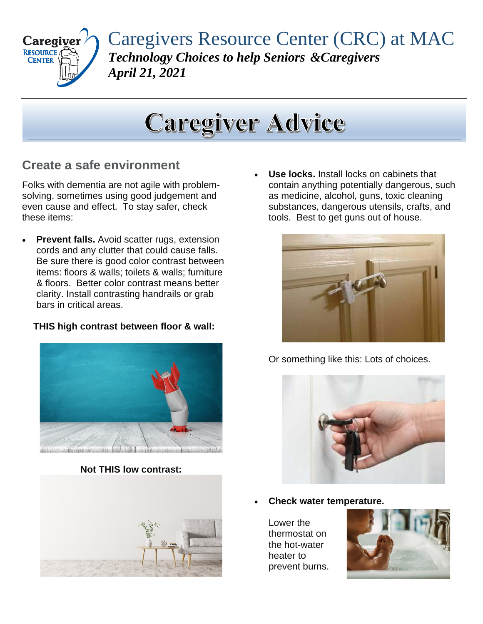

Caregivers Resource Center (CRC) at MAC *Technology Choices to help Seniors &Caregivers April 21, 2021*

# **Caregiver Advice**

# **Create a safe environment**

Folks with dementia are not agile with problemsolving, sometimes using good judgement and even cause and effect. To stay safer, check these items:

• **Prevent falls.** Avoid scatter rugs, extension cords and any clutter that could cause falls. Be sure there is good color contrast between items: floors & walls; toilets & walls; furniture & floors. Better color contrast means better clarity. Install contrasting handrails or grab bars in critical areas.

## **THIS high contrast between floor & wall:**



**Not THIS low contrast:**



• **Use locks.** Install locks on cabinets that contain anything potentially dangerous, such as medicine, alcohol, guns, toxic cleaning substances, dangerous utensils, crafts, and tools. Best to get guns out of house.



Or something like this: Lots of choices.



• **Check water temperature.**

Lower the thermostat on the hot-water heater to prevent burns.